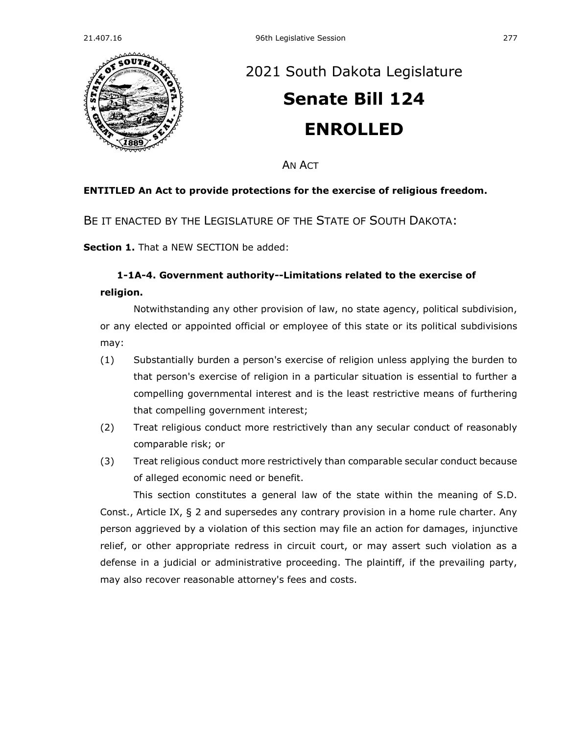

## [2021 South Dakota Legislature](https://sdlegislature.gov/Session/Bills/44) **[Senate Bill 124](https://sdlegislature.gov/Session/Bill/22127) ENROLLED**

AN ACT

## **ENTITLED An Act to provide protections for the exercise of religious freedom.**

BE IT ENACTED BY THE LEGISLATURE OF THE STATE OF SOUTH DAKOTA:

**Section 1.** That a NEW SECTION be added:

## **1-1A-4. Government authority--Limitations related to the exercise of religion.**

Notwithstanding any other provision of law, no state agency, political subdivision, or any elected or appointed official or employee of this state or its political subdivisions may:

- (1) Substantially burden a person's exercise of religion unless applying the burden to that person's exercise of religion in a particular situation is essential to further a compelling governmental interest and is the least restrictive means of furthering that compelling government interest;
- (2) Treat religious conduct more restrictively than any secular conduct of reasonably comparable risk; or
- (3) Treat religious conduct more restrictively than comparable secular conduct because of alleged economic need or benefit.

This section constitutes a general law of the state within the meaning of S.D. Const., Article IX, § 2 and supersedes any contrary provision in a home rule charter. Any person aggrieved by a violation of this section may file an action for damages, injunctive relief, or other appropriate redress in circuit court, or may assert such violation as a defense in a judicial or administrative proceeding. The plaintiff, if the prevailing party, may also recover reasonable attorney's fees and costs.